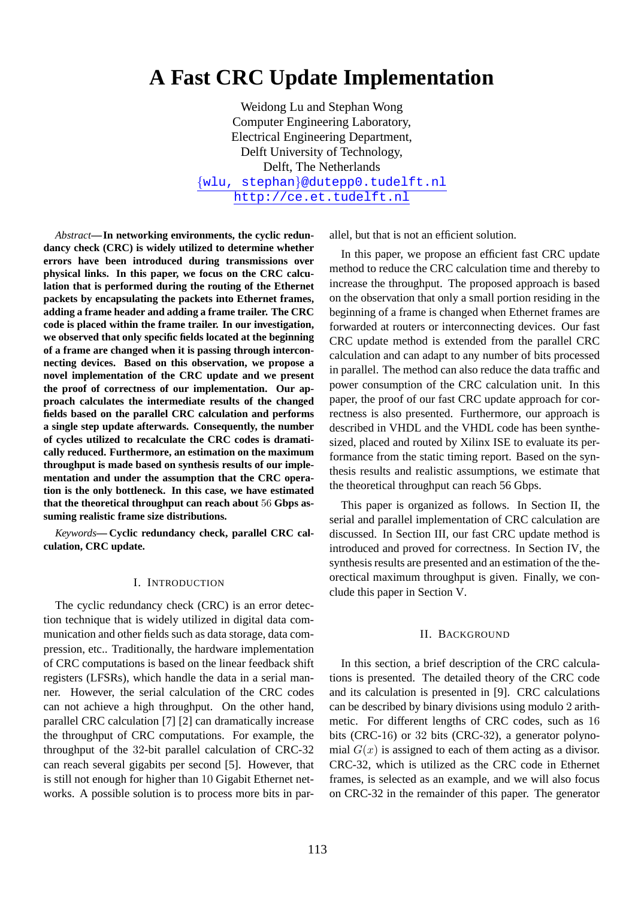# **A Fast CRC Update Implementation**

Weidong Lu and Stephan Wong Computer Engineering Laboratory, Electrical Engineering Department, Delft University of Technology, Delft, The Netherlands {wlu, stephan}@dutepp0.tudelft.nl http://ce.et.tudelft.nl

*Abstract***—In networking environments, the cyclic redundancy check (CRC) is widely utilized to determine whether errors have been introduced during transmissions over physical links. In this paper, we focus on the CRC calculation that is performed during the routing of the Ethernet packets by encapsulating the packets into Ethernet frames, adding a frame header and adding a frame trailer. The CRC code is placed within the frame trailer. In our investigation, we observed that only specific fields located at the beginning of a frame are changed when it is passing through interconnecting devices. Based on this observation, we propose a novel implementation of the CRC update and we present the proof of correctness of our implementation. Our approach calculates the intermediate results of the changed fields based on the parallel CRC calculation and performs a single step update afterwards. Consequently, the number of cycles utilized to recalculate the CRC codes is dramatically reduced. Furthermore, an estimation on the maximum throughput is made based on synthesis results of our implementation and under the assumption that the CRC operation is the only bottleneck. In this case, we have estimated that the theoretical throughput can reach about** 56 **Gbps assuming realistic frame size distributions.**

*Keywords***— Cyclic redundancy check, parallel CRC calculation, CRC update.**

#### I. INTRODUCTION

The cyclic redundancy check (CRC) is an error detection technique that is widely utilized in digital data communication and other fields such as data storage, data compression, etc.. Traditionally, the hardware implementation of CRC computations is based on the linear feedback shift registers (LFSRs), which handle the data in a serial manner. However, the serial calculation of the CRC codes can not achieve a high throughput. On the other hand, parallel CRC calculation [7] [2] can dramatically increase the throughput of CRC computations. For example, the throughput of the 32-bit parallel calculation of CRC-32 can reach several gigabits per second [5]. However, that is still not enough for higher than 10 Gigabit Ethernet networks. A possible solution is to process more bits in parallel, but that is not an efficient solution.

In this paper, we propose an efficient fast CRC update method to reduce the CRC calculation time and thereby to increase the throughput. The proposed approach is based on the observation that only a small portion residing in the beginning of a frame is changed when Ethernet frames are forwarded at routers or interconnecting devices. Our fast CRC update method is extended from the parallel CRC calculation and can adapt to any number of bits processed in parallel. The method can also reduce the data traffic and power consumption of the CRC calculation unit. In this paper, the proof of our fast CRC update approach for correctness is also presented. Furthermore, our approach is described in VHDL and the VHDL code has been synthesized, placed and routed by Xilinx ISE to evaluate its performance from the static timing report. Based on the synthesis results and realistic assumptions, we estimate that the theoretical throughput can reach 56 Gbps.

This paper is organized as follows. In Section II, the serial and parallel implementation of CRC calculation are discussed. In Section III, our fast CRC update method is introduced and proved for correctness. In Section IV, the synthesis results are presented and an estimation of the theorectical maximum throughput is given. Finally, we conclude this paper in Section V.

#### II. BACKGROUND

In this section, a brief description of the CRC calculations is presented. The detailed theory of the CRC code and its calculation is presented in [9]. CRC calculations can be described by binary divisions using modulo 2 arithmetic. For different lengths of CRC codes, such as 16 bits (CRC-16) or 32 bits (CRC-32), a generator polynomial  $G(x)$  is assigned to each of them acting as a divisor. CRC-32, which is utilized as the CRC code in Ethernet frames, is selected as an example, and we will also focus on CRC-32 in the remainder of this paper. The generator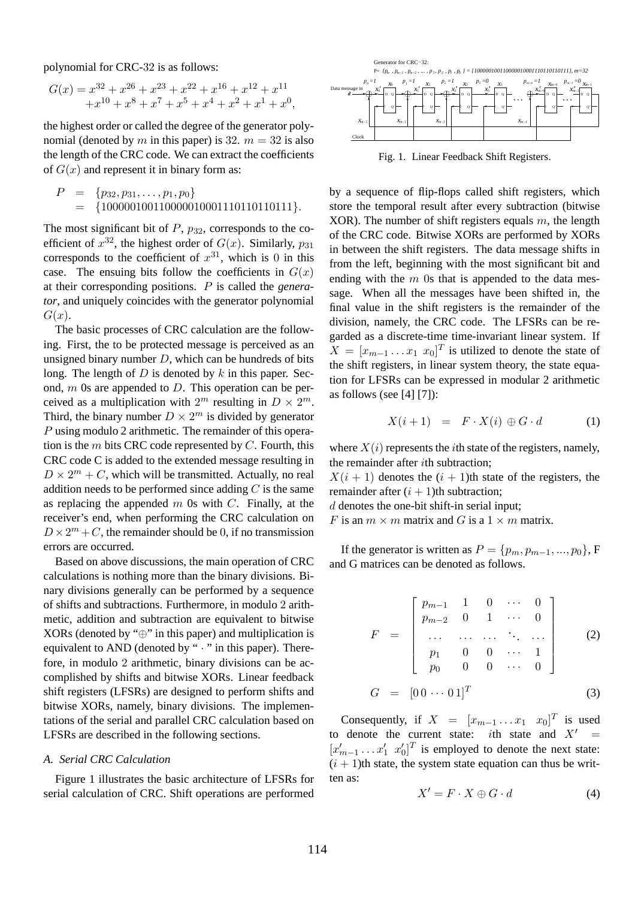polynomial for CRC-32 is as follows:

$$
G(x) = x^{32} + x^{26} + x^{23} + x^{22} + x^{16} + x^{12} + x^{11} + x^{10} + x^8 + x^7 + x^5 + x^4 + x^2 + x^1 + x^0,
$$

the highest order or called the degree of the generator polynomial (denoted by m in this paper) is 32.  $m = 32$  is also the length of the CRC code. We can extract the coefficients of  $G(x)$  and represent it in binary form as:

$$
P = \{p_{32}, p_{31}, \ldots, p_1, p_0\} = \{100000100110000010001110110110111\}.
$$

The most significant bit of  $P$ ,  $p_{32}$ , corresponds to the coefficient of  $x^{32}$ , the highest order of  $G(x)$ . Similarly,  $p_{31}$ corresponds to the coefficient of  $x^{31}$ , which is 0 in this case. The ensuing bits follow the coefficients in  $G(x)$ at their corresponding positions. P is called the *generator*, and uniquely coincides with the generator polynomial  $G(x)$ .

The basic processes of CRC calculation are the following. First, the to be protected message is perceived as an unsigned binary number  $D$ , which can be hundreds of bits long. The length of  $D$  is denoted by  $k$  in this paper. Second,  $m$  0s are appended to  $D$ . This operation can be perceived as a multiplication with  $2^m$  resulting in  $D \times 2^m$ . Third, the binary number  $D \times 2^m$  is divided by generator P using modulo 2 arithmetic. The remainder of this operation is the  $m$  bits CRC code represented by  $C$ . Fourth, this CRC code C is added to the extended message resulting in  $D \times 2^m + C$ , which will be transmitted. Actually, no real addition needs to be performed since adding  $C$  is the same as replacing the appended  $m$  0s with  $C$ . Finally, at the receiver's end, when performing the CRC calculation on  $D \times 2^m + C$ , the remainder should be 0, if no transmission errors are occurred.

Based on above discussions, the main operation of CRC calculations is nothing more than the binary divisions. Binary divisions generally can be performed by a sequence of shifts and subtractions. Furthermore, in modulo 2 arithmetic, addition and subtraction are equivalent to bitwise XORs (denoted by " $\oplus$ " in this paper) and multiplication is equivalent to AND (denoted by "  $\cdot$  " in this paper). Therefore, in modulo 2 arithmetic, binary divisions can be accomplished by shifts and bitwise XORs. Linear feedback shift registers (LFSRs) are designed to perform shifts and bitwise XORs, namely, binary divisions. The implementations of the serial and parallel CRC calculation based on LFSRs are described in the following sections.

## *A. Serial CRC Calculation*

Figure 1 illustrates the basic architecture of LFSRs for serial calculation of CRC. Shift operations are performed



Fig. 1. Linear Feedback Shift Registers.

by a sequence of flip-flops called shift registers, which store the temporal result after every subtraction (bitwise XOR). The number of shift registers equals  $m$ , the length of the CRC code. Bitwise XORs are performed by XORs in between the shift registers. The data message shifts in from the left, beginning with the most significant bit and ending with the  $m$  0s that is appended to the data message. When all the messages have been shifted in, the final value in the shift registers is the remainder of the division, namely, the CRC code. The LFSRs can be regarded as a discrete-time time-invariant linear system. If  $X = [x_{m-1} \dots x_1 \ x_0]^T$  is utilized to denote the state of the shift registers, in linear system theory, the state equation for LFSRs can be expressed in modular 2 arithmetic as follows (see [4] [7]):

$$
X(i+1) = F \cdot X(i) \oplus G \cdot d \tag{1}
$$

where  $X(i)$  represents the *i*th state of the registers, namely, the remainder after ith subtraction;

 $X(i + 1)$  denotes the  $(i + 1)$ th state of the registers, the remainder after  $(i + 1)$ th subtraction;

d denotes the one-bit shift-in serial input;

F is an  $m \times m$  matrix and G is a  $1 \times m$  matrix.

If the generator is written as  $P = \{p_m, p_{m-1}, ..., p_0\}$ , F and G matrices can be denoted as follows.

$$
F = \begin{bmatrix} p_{m-1} & 1 & 0 & \cdots & 0 \\ p_{m-2} & 0 & 1 & \cdots & 0 \\ \vdots & \vdots & \vdots & \ddots & \vdots \\ p_1 & 0 & 0 & \cdots & 1 \\ p_0 & 0 & 0 & \cdots & 0 \end{bmatrix}
$$
 (2)

$$
G = [0 \ 0 \ \cdots \ 0 \ 1]^T \tag{3}
$$

Consequently, if  $X = [x_{m-1} \dots x_1 \ x_0]^T$  is used to denote the current state: *i*th state and  $X' =$  $[x'_{m-1} \dots x'_{1} \ x'_{0}]^{T}$  is employed to denote the next state:  $(i + 1)$ th state, the system state equation can thus be written as:

$$
X' = F \cdot X \oplus G \cdot d \tag{4}
$$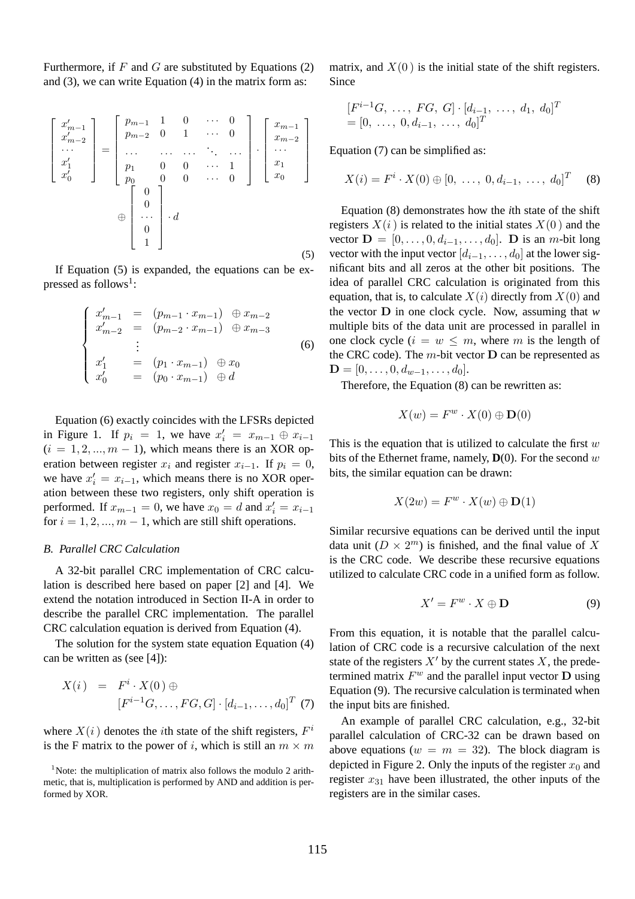Furthermore, if  $F$  and  $G$  are substituted by Equations (2) and (3), we can write Equation (4) in the matrix form as:

$$
\begin{bmatrix} x'_{m-1} \\ x'_{m-2} \\ \cdots \\ x'_{1} \\ x'_{0} \end{bmatrix} = \begin{bmatrix} p_{m-1} & 1 & 0 & \cdots & 0 \\ p_{m-2} & 0 & 1 & \cdots & 0 \\ \cdots & \cdots & \cdots & \ddots & \cdots \\ p_{1} & 0 & 0 & \cdots & 1 \\ p_{0} & 0 & 0 & \cdots & 0 \end{bmatrix} \cdot \begin{bmatrix} x_{m-1} \\ x_{m-2} \\ \cdots \\ x_{0} \end{bmatrix}
$$

$$
\oplus \begin{bmatrix} 0 \\ 0 \\ \cdots \\ 0 \\ 1 \end{bmatrix} \cdot d
$$
 (5)

If Equation (5) is expanded, the equations can be expressed as follows<sup>1</sup>:

$$
\begin{cases}\nx'_{m-1} = (p_{m-1} \cdot x_{m-1}) \oplus x_{m-2} \\
x'_{m-2} = (p_{m-2} \cdot x_{m-1}) \oplus x_{m-3} \\
\vdots \\
x'_{1} = (p_{1} \cdot x_{m-1}) \oplus x_{0} \\
x'_{0} = (p_{0} \cdot x_{m-1}) \oplus d\n\end{cases}
$$
\n(6)

Equation (6) exactly coincides with the LFSRs depicted in Figure 1. If  $p_i = 1$ , we have  $x'_i = x_{m-1} \oplus x_{i-1}$  $(i = 1, 2, ..., m - 1)$ , which means there is an XOR operation between register  $x_i$  and register  $x_{i-1}$ . If  $p_i = 0$ , we have  $x'_i = x_{i-1}$ , which means there is no XOR operation between these two registers, only shift operation is performed. If  $x_{m-1} = 0$ , we have  $x_0 = d$  and  $x'_i = x_{i-1}$ for  $i = 1, 2, ..., m - 1$ , which are still shift operations.

## *B. Parallel CRC Calculation*

A 32-bit parallel CRC implementation of CRC calculation is described here based on paper [2] and [4]. We extend the notation introduced in Section II-A in order to describe the parallel CRC implementation. The parallel CRC calculation equation is derived from Equation (4).

The solution for the system state equation Equation (4) can be written as (see [4]):

$$
X(i) = F^{i} \cdot X(0) \oplus [F^{i-1}G, \dots, FG, G] \cdot [d_{i-1}, \dots, d_0]^T \tag{7}
$$

where  $X(i)$  denotes the *i*th state of the shift registers,  $F^i$ is the F matrix to the power of i, which is still an  $m \times m$ 

matrix, and  $X(0)$  is the initial state of the shift registers. Since

$$
[F^{i-1}G, \ldots, FG, G] \cdot [d_{i-1}, \ldots, d_1, d_0]^T
$$
  
= [0, \ldots, 0, d\_{i-1}, \ldots, d\_0]^T

Equation (7) can be simplified as:

$$
X(i) = Fi \cdot X(0) \oplus [0, \ldots, 0, d_{i-1}, \ldots, d_0]^T
$$
 (8)

Equation (8) demonstrates how the *i*th state of the shift registers  $X(i)$  is related to the initial states  $X(0)$  and the vector  $\mathbf{D} = [0, \ldots, 0, d_{i-1}, \ldots, d_0]$ . D is an m-bit long vector with the input vector  $[d_{i-1}, \ldots, d_0]$  at the lower significant bits and all zeros at the other bit positions. The idea of parallel CRC calculation is originated from this equation, that is, to calculate  $X(i)$  directly from  $X(0)$  and the vector D in one clock cycle. Now, assuming that *w* multiple bits of the data unit are processed in parallel in one clock cycle ( $i = w \le m$ , where m is the length of the CRC code). The  $m$ -bit vector  $D$  can be represented as  $\mathbf{D} = [0, \ldots, 0, d_{w-1}, \ldots, d_0].$ 

Therefore, the Equation (8) can be rewritten as:

$$
X(w) = F^w \cdot X(0) \oplus \mathbf{D}(0)
$$

This is the equation that is utilized to calculate the first  $w$ bits of the Ethernet frame, namely,  $\mathbf{D}(0)$ . For the second w bits, the similar equation can be drawn:

$$
X(2w) = F^w \cdot X(w) \oplus \mathbf{D}(1)
$$

Similar recursive equations can be derived until the input data unit  $(D \times 2^m)$  is finished, and the final value of X is the CRC code. We describe these recursive equations utilized to calculate CRC code in a unified form as follow.

$$
X' = F^w \cdot X \oplus \mathbf{D} \tag{9}
$$

From this equation, it is notable that the parallel calculation of CRC code is a recursive calculation of the next state of the registers  $X'$  by the current states X, the predetermined matrix  $F^w$  and the parallel input vector  $\overrightarrow{D}$  using Equation (9). The recursive calculation is terminated when the input bits are finished.

An example of parallel CRC calculation, e.g., 32-bit parallel calculation of CRC-32 can be drawn based on above equations ( $w = m = 32$ ). The block diagram is depicted in Figure 2. Only the inputs of the register  $x_0$  and register  $x_{31}$  have been illustrated, the other inputs of the registers are in the similar cases.

<sup>&</sup>lt;sup>1</sup>Note: the multiplication of matrix also follows the modulo 2 arithmetic, that is, multiplication is performed by AND and addition is performed by XOR.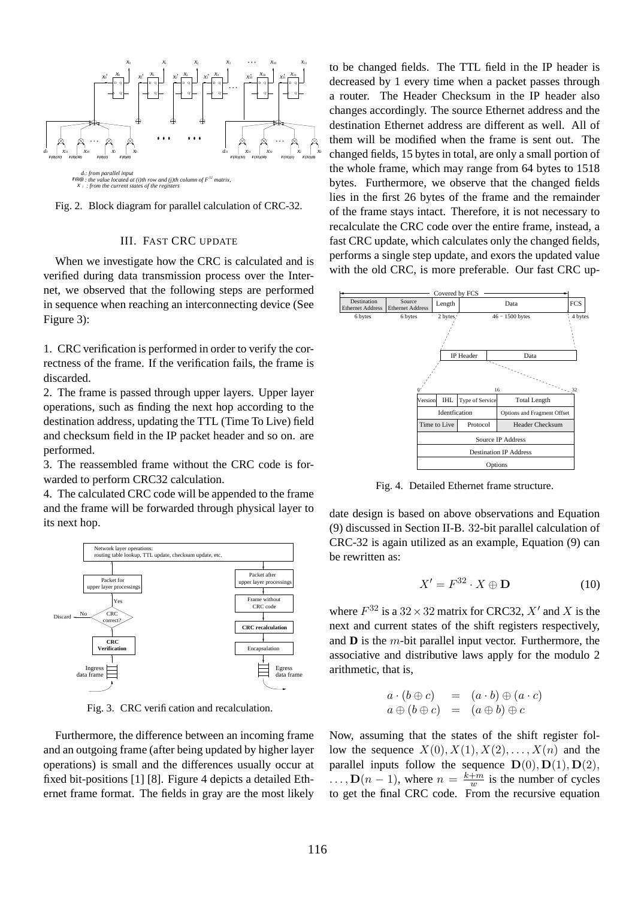

Fig. 2. Block diagram for parallel calculation of CRC-32.

# III. FAST CRC UPDATE

When we investigate how the CRC is calculated and is verified during data transmission process over the Internet, we observed that the following steps are performed in sequence when reaching an interconnecting device (See Figure 3):

1. CRC verification is performed in order to verify the correctness of the frame. If the verification fails, the frame is discarded.

2. The frame is passed through upper layers. Upper layer operations, such as finding the next hop according to the destination address, updating the TTL (Time To Live) field and checksum field in the IP packet header and so on. are performed.

3. The reassembled frame without the CRC code is forwarded to perform CRC32 calculation.

4. The calculated CRC code will be appended to the frame and the frame will be forwarded through physical layer to its next hop.



Fig. 3. CRC verification and recalculation.

Furthermore, the difference between an incoming frame and an outgoing frame (after being updated by higher layer operations) is small and the differences usually occur at fixed bit-positions [1] [8]. Figure 4 depicts a detailed Ethernet frame format. The fields in gray are the most likely to be changed fields. The TTL field in the IP header is decreased by 1 every time when a packet passes through a router. The Header Checksum in the IP header also changes accordingly. The source Ethernet address and the destination Ethernet address are different as well. All of them will be modified when the frame is sent out. The changed fields, 15 bytes in total, are only a small portion of the whole frame, which may range from 64 bytes to 1518 bytes. Furthermore, we observe that the changed fields lies in the first 26 bytes of the frame and the remainder of the frame stays intact. Therefore, it is not necessary to recalculate the CRC code over the entire frame, instead, a fast CRC update, which calculates only the changed fields, performs a single step update, and exors the updated value with the old CRC, is more preferable. Our fast CRC up-



Fig. 4. Detailed Ethernet frame structure.

date design is based on above observations and Equation (9) discussed in Section II-B. 32-bit parallel calculation of CRC-32 is again utilized as an example, Equation (9) can be rewritten as:

$$
X' = F^{32} \cdot X \oplus \mathbf{D} \tag{10}
$$

where  $F^{32}$  is a  $32 \times 32$  matrix for CRC32,  $X'$  and X is the next and current states of the shift registers respectively, and **D** is the m-bit parallel input vector. Furthermore, the associative and distributive laws apply for the modulo 2 arithmetic, that is,

$$
a \cdot (b \oplus c) = (a \cdot b) \oplus (a \cdot c)
$$
  

$$
a \oplus (b \oplus c) = (a \oplus b) \oplus c
$$

Now, assuming that the states of the shift register follow the sequence  $X(0), X(1), X(2), \ldots, X(n)$  and the parallel inputs follow the sequence  $\mathbf{D}(0), \mathbf{D}(1), \mathbf{D}(2),$  $\ldots$ ,  $\mathbf{D}(n-1)$ , where  $n = \frac{k+m}{w}$  is the number of cycles to get the final CRC code. From the recursive equation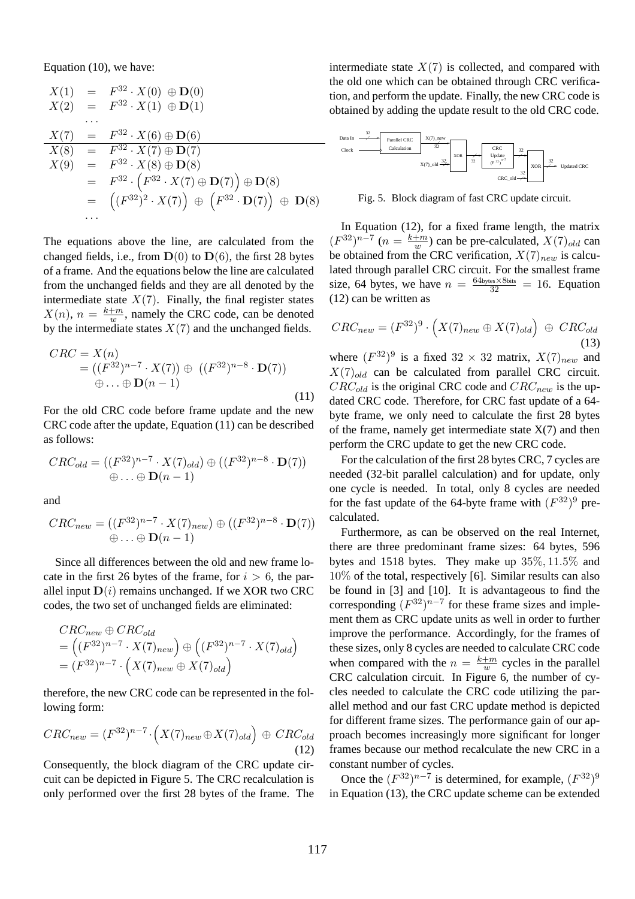Equation (10), we have:

$$
X(1) = F^{32} \cdot X(0) \oplus D(0)
$$
  
\n
$$
X(2) = F^{32} \cdot X(1) \oplus D(1)
$$
  
\n...  
\n
$$
X(7) = F^{32} \cdot X(6) \oplus D(6)
$$
  
\n
$$
X(8) = F^{32} \cdot X(7) \oplus D(7)
$$
  
\n
$$
X(9) = F^{32} \cdot X(8) \oplus D(8)
$$
  
\n
$$
= F^{32} \cdot (F^{32} \cdot X(7) \oplus D(7)) \oplus D(8)
$$
  
\n
$$
= ((F^{32})^2 \cdot X(7)) \oplus (F^{32} \cdot D(7)) \oplus D(8)
$$
  
\n...

The equations above the line, are calculated from the changed fields, i.e., from  $\mathbf{D}(0)$  to  $\mathbf{D}(6)$ , the first 28 bytes of a frame. And the equations below the line are calculated from the unchanged fields and they are all denoted by the intermediate state  $X(7)$ . Finally, the final register states  $X(n)$ ,  $n = \frac{k+m}{w}$ , namely the CRC code, can be denoted by the intermediate states  $X(7)$  and the unchanged fields.

$$
CRC = X(n)
$$
  
= ((F<sup>32</sup>)<sup>n-7</sup> · X(7))  $\oplus$  ((F<sup>32</sup>)<sup>n-8</sup> · **D**(7))  
 $\oplus ... \oplus$ **D**(n - 1) (11)

For the old CRC code before frame update and the new CRC code after the update, Equation (11) can be described as follows:

$$
CRC_{old} = ((F^{32})^{n-7} \cdot X(7)_{old}) \oplus ((F^{32})^{n-8} \cdot \mathbf{D}(7))
$$
  

$$
\oplus \dots \oplus \mathbf{D}(n-1)
$$

and

$$
CRC_{new} = ((F^{32})^{n-7} \cdot X(7)_{new}) \oplus ((F^{32})^{n-8} \cdot \mathbf{D}(7))
$$
  

$$
\oplus \ldots \oplus \mathbf{D}(n-1)
$$

Since all differences between the old and new frame locate in the first 26 bytes of the frame, for  $i > 6$ , the parallel input  $D(i)$  remains unchanged. If we XOR two CRC codes, the two set of unchanged fields are eliminated:

$$
CRC_{new} \oplus CRC_{old}
$$
  
= 
$$
((F^{32})^{n-7} \cdot X(7)_{new}) \oplus ((F^{32})^{n-7} \cdot X(7)_{old})
$$
  
= 
$$
(F^{32})^{n-7} \cdot (X(7)_{new} \oplus X(7)_{old})
$$

therefore, the new CRC code can be represented in the following form:

$$
CRC_{new} = (F^{32})^{n-7} \cdot \left( X(7)_{new} \oplus X(7)_{old} \right) \oplus CRC_{old}
$$
\n(12)

Consequently, the block diagram of the CRC update circuit can be depicted in Figure 5. The CRC recalculation is only performed over the first 28 bytes of the frame. The intermediate state  $X(7)$  is collected, and compared with the old one which can be obtained through CRC verification, and perform the update. Finally, the new CRC code is obtained by adding the update result to the old CRC code.



Fig. 5. Block diagram of fast CRC update circuit.

In Equation (12), for a fixed frame length, the matrix  $(F^{32})^{n-7}$  ( $n = \frac{k+m}{w}$ ) can be pre-calculated,  $X(7)_{old}$  can be obtained from the CRC verification,  $X(7)_{new}$  is calculated through parallel CRC circuit. For the smallest frame size, 64 bytes, we have  $n = \frac{64 \text{bytes} \times 8 \text{bits}}{32} = 16$ . Equation (12) can be written as

$$
CRC_{new} = (F^{32})^9 \cdot \left(X(7)_{new} \oplus X(7)_{old}\right) \oplus CRC_{old}
$$
\n(13)

where  $(F^{32})^9$  is a fixed  $32 \times 32$  matrix,  $X(7)_{new}$  and  $X(7)_{old}$  can be calculated from parallel CRC circuit.  $CRC_{old}$  is the original CRC code and  $CRC_{new}$  is the updated CRC code. Therefore, for CRC fast update of a 64 byte frame, we only need to calculate the first 28 bytes of the frame, namely get intermediate state  $X(7)$  and then perform the CRC update to get the new CRC code.

For the calculation of the first 28 bytes CRC, 7 cycles are needed (32-bit parallel calculation) and for update, only one cycle is needed. In total, only 8 cycles are needed for the fast update of the 64-byte frame with  $(F^{32})^9$  precalculated.

Furthermore, as can be observed on the real Internet, there are three predominant frame sizes: 64 bytes, 596 bytes and 1518 bytes. They make up 35%, 11.5% and 10% of the total, respectively [6]. Similar results can also be found in [3] and [10]. It is advantageous to find the corresponding  $(F^{32})^{n-7}$  for these frame sizes and implement them as CRC update units as well in order to further improve the performance. Accordingly, for the frames of these sizes, only 8 cycles are needed to calculate CRC code when compared with the  $n = \frac{k+m}{w}$  cycles in the parallel CRC calculation circuit. In Figure 6, the number of cycles needed to calculate the CRC code utilizing the parallel method and our fast CRC update method is depicted for different frame sizes. The performance gain of our approach becomes increasingly more significant for longer frames because our method recalculate the new CRC in a constant number of cycles.

Once the  $(F^{32})^{n-7}$  is determined, for example,  $(F^{32})^9$ in Equation (13), the CRC update scheme can be extended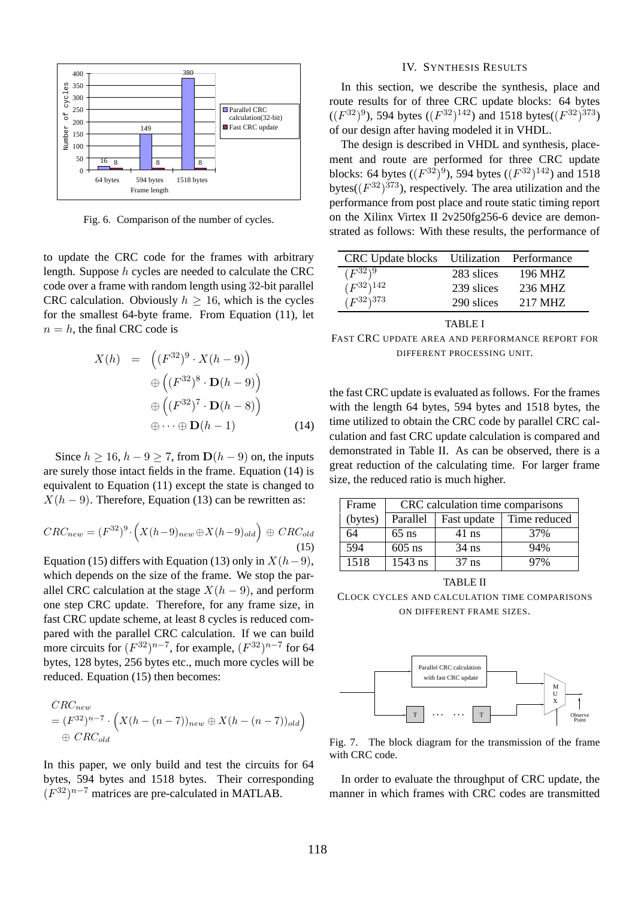

Fig. 6. Comparison of the number of cycles.

to update the CRC code for the frames with arbitrary length. Suppose h cycles are needed to calculate the CRC code over a frame with random length using 32-bit parallel CRC calculation. Obviously  $h > 16$ , which is the cycles for the smallest 64-byte frame. From Equation (11), let  $n = h$ , the final CRC code is

$$
X(h) = ((F^{32})^9 \cdot X(h-9))
$$
  
\n
$$
\oplus ((F^{32})^8 \cdot D(h-9))
$$
  
\n
$$
\oplus ((F^{32})^7 \cdot D(h-8))
$$
  
\n
$$
\oplus \cdots \oplus D(h-1)
$$
 (14)

Since  $h > 16$ ,  $h - 9 > 7$ , from  $\mathbf{D}(h - 9)$  on, the inputs are surely those intact fields in the frame. Equation (14) is equivalent to Equation (11) except the state is changed to  $X(h - 9)$ . Therefore, Equation (13) can be rewritten as:

$$
CRC_{new} = (F^{32})^9 \cdot \left( X(h-9)_{new} \oplus X(h-9)_{old} \right) \oplus CRC_{old}
$$
\n(15)

Equation (15) differs with Equation (13) only in  $X(h-9)$ , which depends on the size of the frame. We stop the parallel CRC calculation at the stage  $X(h-9)$ , and perform one step CRC update. Therefore, for any frame size, in fast CRC update scheme, at least 8 cycles is reduced compared with the parallel CRC calculation. If we can build more circuits for  $(F^{32})^{n-7}$ , for example,  $(F^{32})^{n-7}$  for 64 bytes, 128 bytes, 256 bytes etc., much more cycles will be reduced. Equation (15) then becomes:

$$
CRC_{new}
$$
  
=  $(F^{32})^{n-7} \cdot \left( X(h - (n-7))_{new} \oplus X(h - (n-7))_{old} \right)$   
 $\oplus CRC_{old}$ 

In this paper, we only build and test the circuits for 64 bytes, 594 bytes and 1518 bytes. Their corresponding  $(F^{32})^{n-7}$  matrices are pre-calculated in MATLAB.

# IV. SYNTHESIS RESULTS

In this section, we describe the synthesis, place and route results for of three CRC update blocks: 64 bytes  $((F^{32})^9)$ , 594 bytes  $((F^{32})^{142})$  and 1518 bytes $((F^{32})^{373})$ of our design after having modeled it in VHDL.

The design is described in VHDL and synthesis, placement and route are performed for three CRC update blocks: 64 bytes  $((F^{32})^9)$ , 594 bytes  $((F^{32})^{142})$  and 1518 bytes( $(F^{32})^{373}$ ), respectively. The area utilization and the performance from post place and route static timing report on the Xilinx Virtex II 2v250fg256-6 device are demonstrated as follows: With these results, the performance of

| <b>CRC</b> Update blocks |            | Utilization Performance |
|--------------------------|------------|-------------------------|
| $(F^{32})^9$             | 283 slices | 196 MHZ                 |
| $(F^{32})^{142}$         | 239 slices | 236 MHZ                 |
| $(F^{32})^{373}$         | 290 slices | 217 MHZ                 |
|                          |            |                         |

#### TABLE I

FAST CRC UPDATE AREA AND PERFORMANCE REPORT FOR DIFFERENT PROCESSING UNIT.

the fast CRC update is evaluated as follows. For the frames with the length 64 bytes, 594 bytes and 1518 bytes, the time utilized to obtain the CRC code by parallel CRC calculation and fast CRC update calculation is compared and demonstrated in Table II. As can be observed, there is a great reduction of the calculating time. For larger frame size, the reduced ratio is much higher.

| Frame        | CRC calculation time comparisons |             |              |  |
|--------------|----------------------------------|-------------|--------------|--|
| (bytes)      | Parallel                         | Fast update | Time reduced |  |
| 64           | $65$ ns                          | $41$ ns     | 37%          |  |
| $\sqrt{594}$ | $605$ ns                         | $34$ ns     | 94%          |  |
| 1518         | $1543$ ns                        | $37$ ns     | 97%          |  |

TABLE II CLOCK CYCLES AND CALCULATION TIME COMPARISONS ON DIFFERENT FRAME SIZES.



Fig. 7. The block diagram for the transmission of the frame with CRC code.

In order to evaluate the throughput of CRC update, the manner in which frames with CRC codes are transmitted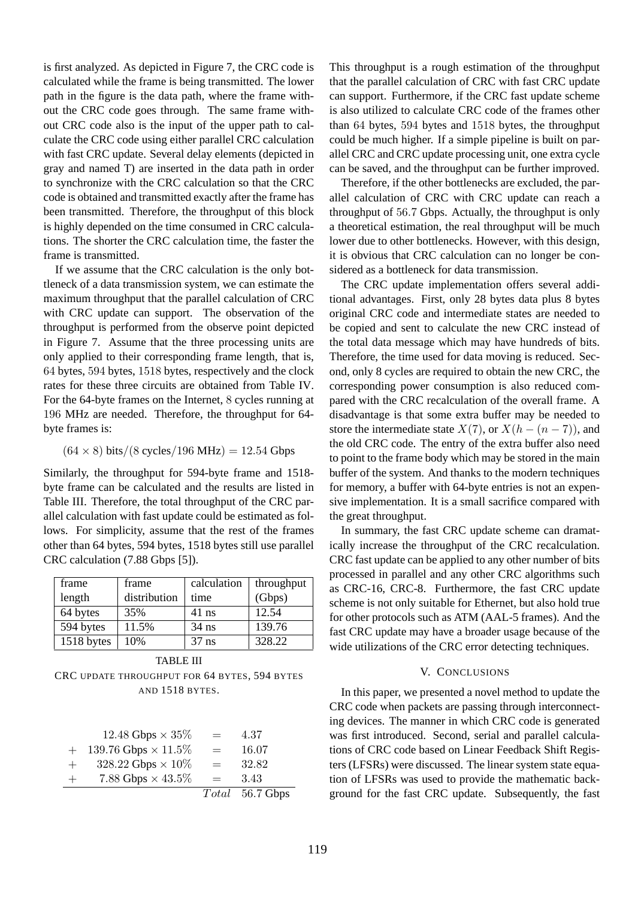is first analyzed. As depicted in Figure 7, the CRC code is calculated while the frame is being transmitted. The lower path in the figure is the data path, where the frame without the CRC code goes through. The same frame without CRC code also is the input of the upper path to calculate the CRC code using either parallel CRC calculation with fast CRC update. Several delay elements (depicted in gray and named T) are inserted in the data path in order to synchronize with the CRC calculation so that the CRC code is obtained and transmitted exactly after the frame has been transmitted. Therefore, the throughput of this block is highly depended on the time consumed in CRC calculations. The shorter the CRC calculation time, the faster the frame is transmitted.

If we assume that the CRC calculation is the only bottleneck of a data transmission system, we can estimate the maximum throughput that the parallel calculation of CRC with CRC update can support. The observation of the throughput is performed from the observe point depicted in Figure 7. Assume that the three processing units are only applied to their corresponding frame length, that is, 64 bytes, 594 bytes, 1518 bytes, respectively and the clock rates for these three circuits are obtained from Table IV. For the 64-byte frames on the Internet, 8 cycles running at 196 MHz are needed. Therefore, the throughput for 64 byte frames is:

# $(64 \times 8)$  bits/ $(8 \text{ cycles}/196 \text{ MHz}) = 12.54 \text{ Gbps}$

Similarly, the throughput for 594-byte frame and 1518 byte frame can be calculated and the results are listed in Table III. Therefore, the total throughput of the CRC parallel calculation with fast update could be estimated as follows. For simplicity, assume that the rest of the frames other than 64 bytes, 594 bytes, 1518 bytes still use parallel CRC calculation (7.88 Gbps [5]).

| frame      | frame        | calculation | throughput |
|------------|--------------|-------------|------------|
| length     | distribution | time        | (Gbps)     |
| 64 bytes   | 35%          | $41$ ns     | 12.54      |
| 594 bytes  | 11.5%        | $34$ ns     | 139.76     |
| 1518 bytes | 10%          | $37$ ns     | 328.22     |

| <b>TABLE III</b> |       |         |         |  |
|------------------|-------|---------|---------|--|
| 1518 bytes       | 10%   | $37$ ns | 328.22  |  |
| 594 bytes        | 11.5% | $34$ ns | 139.76  |  |
| $0 + 0$ y to $0$ | JJ 70 | TI 110  | $1 - 7$ |  |

CRC UPDATE THROUGHPUT FOR 64 BYTES, 594 BYTES AND 1518 BYTES.

|        | 12.48 Gbps $\times$ 35%    | $=$ | 4.37            |
|--------|----------------------------|-----|-----------------|
| $+$    | 139.76 Gbps $\times$ 11.5% | $=$ | 16.07           |
| $+$    | 328.22 Gbps $\times$ 10%   | $=$ | 32.82           |
| $^{+}$ | 7.88 Gbps $\times$ 43.5%   | $=$ | 3.43            |
|        |                            |     | Total 56.7 Gbps |

This throughput is a rough estimation of the throughput that the parallel calculation of CRC with fast CRC update can support. Furthermore, if the CRC fast update scheme is also utilized to calculate CRC code of the frames other than 64 bytes, 594 bytes and 1518 bytes, the throughput could be much higher. If a simple pipeline is built on parallel CRC and CRC update processing unit, one extra cycle can be saved, and the throughput can be further improved.

Therefore, if the other bottlenecks are excluded, the parallel calculation of CRC with CRC update can reach a throughput of 56.7 Gbps. Actually, the throughput is only a theoretical estimation, the real throughput will be much lower due to other bottlenecks. However, with this design, it is obvious that CRC calculation can no longer be considered as a bottleneck for data transmission.

The CRC update implementation offers several additional advantages. First, only 28 bytes data plus 8 bytes original CRC code and intermediate states are needed to be copied and sent to calculate the new CRC instead of the total data message which may have hundreds of bits. Therefore, the time used for data moving is reduced. Second, only 8 cycles are required to obtain the new CRC, the corresponding power consumption is also reduced compared with the CRC recalculation of the overall frame. A disadvantage is that some extra buffer may be needed to store the intermediate state  $X(7)$ , or  $X(h - (n - 7))$ , and the old CRC code. The entry of the extra buffer also need to point to the frame body which may be stored in the main buffer of the system. And thanks to the modern techniques for memory, a buffer with 64-byte entries is not an expensive implementation. It is a small sacrifice compared with the great throughput.

In summary, the fast CRC update scheme can dramatically increase the throughput of the CRC recalculation. CRC fast update can be applied to any other number of bits processed in parallel and any other CRC algorithms such as CRC-16, CRC-8. Furthermore, the fast CRC update scheme is not only suitable for Ethernet, but also hold true for other protocols such as ATM (AAL-5 frames). And the fast CRC update may have a broader usage because of the wide utilizations of the CRC error detecting techniques.

# V. CONCLUSIONS

In this paper, we presented a novel method to update the CRC code when packets are passing through interconnecting devices. The manner in which CRC code is generated was first introduced. Second, serial and parallel calculations of CRC code based on Linear Feedback Shift Registers (LFSRs) were discussed. The linear system state equation of LFSRs was used to provide the mathematic background for the fast CRC update. Subsequently, the fast